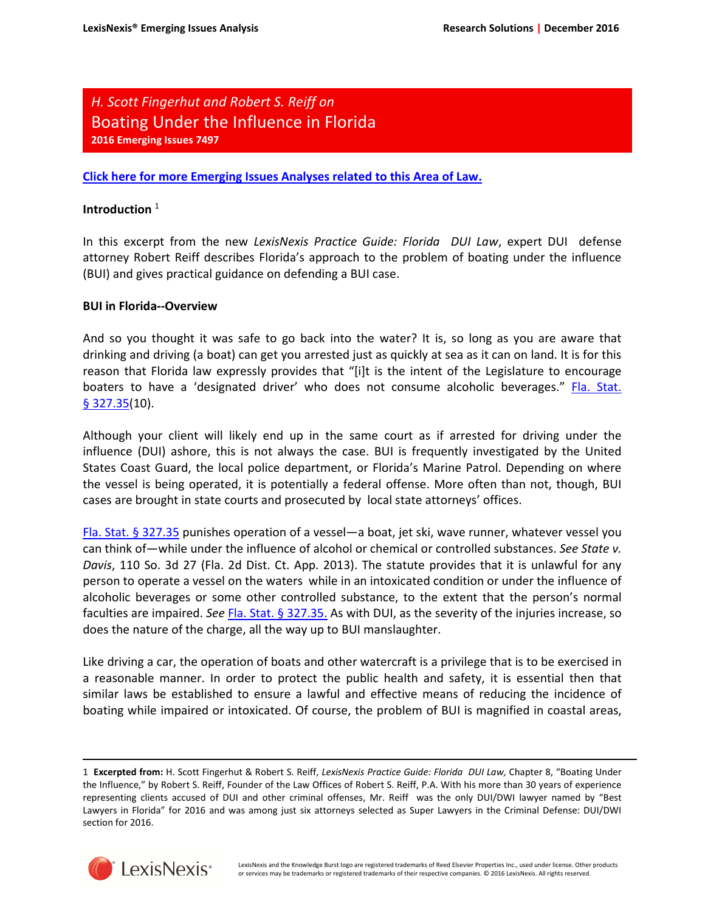# *H. Scott Fingerhut and Robert S. Reiff on*  Boating Under the Influence in Florida **2016 Emerging Issues 7497**

**[Click here for more Emerging Issues Analyses related to this Area of Law.](http://www.lexis.com/research/xlink?&source=352087&searchtype=boolean&target=toc)**

## **Introduction** <sup>1</sup>

In this excerpt from the new *LexisNexis Practice Guide: Florida DUI Law*, expert DUI defense attorney Robert Reiff describes Florida's approach to the problem of boating under the influence (BUI) and gives practical guidance on defending a BUI case.

## **BUI in Florida--Overview**

And so you thought it was safe to go back into the water? It is, so long as you are aware that drinking and driving (a boat) can get you arrested just as quickly at sea as it can on land. It is for this reason that Florida law expressly provides that "[i]t is the intent of the Legislature to encourage boaters to have a 'designated driver' who does not consume alcoholic beverages." [Fla. Stat.](http://www.lexis.com/research/slft?cite=464C20436F646520A7203332372E3335&keyenum=15452&keytnum=0)   $§$  327.35(10).

Although your client will likely end up in the same court as if arrested for driving under the influence (DUI) ashore, this is not always the case. BUI is frequently investigated by the United States Coast Guard, the local police department, or Florida's Marine Patrol. Depending on where the vessel is being operated, it is potentially a federal offense. More often than not, though, BUI cases are brought in state courts and prosecuted by local state attorneys' offices.

[Fla. Stat. § 327.35](http://www.lexis.com/research/slft?cite=464C20436F646520A7203332372E3335&keyenum=15452&keytnum=0) punishes operation of a vessel—a boat, jet ski, wave runner, whatever vessel you can think of—while under the influence of alcohol or chemical or controlled substances. *See State v. Davis*, 110 So. 3d 27 (Fla. 2d Dist. Ct. App. 2013). The statute provides that it is unlawful for any person to operate a vessel on the waters while in an intoxicated condition or under the influence of alcoholic beverages or some other controlled substance, to the extent that the person's normal faculties are impaired. *See* [Fla. Stat. § 327.35.](http://www.lexis.com/research/slft?cite=464C20436F646520A7203332372E33352E&keyenum=15452&keytnum=0) As with DUI, as the severity of the injuries increase, so does the nature of the charge, all the way up to BUI manslaughter.

Like driving a car, the operation of boats and other watercraft is a privilege that is to be exercised in a reasonable manner. In order to protect the public health and safety, it is essential then that similar laws be established to ensure a lawful and effective means of reducing the incidence of boating while impaired or intoxicated. Of course, the problem of BUI is magnified in coastal areas,

<sup>1</sup> **Excerpted from:** H. Scott Fingerhut & Robert S. Reiff, *LexisNexis Practice Guide: Florida DUI Law,* Chapter 8, "Boating Under the Influence," by Robert S. Reiff, Founder of the Law Offices of Robert S. Reiff, P.A. With his more than 30 years of experience representing clients accused of DUI and other criminal offenses, Mr. Reiff was the only DUI/DWI lawyer named by "Best Lawyers in Florida" for 2016 and was among just six attorneys selected as Super Lawyers in the Criminal Defense: DUI/DWI section for 2016.



 $\overline{\phantom{0}}$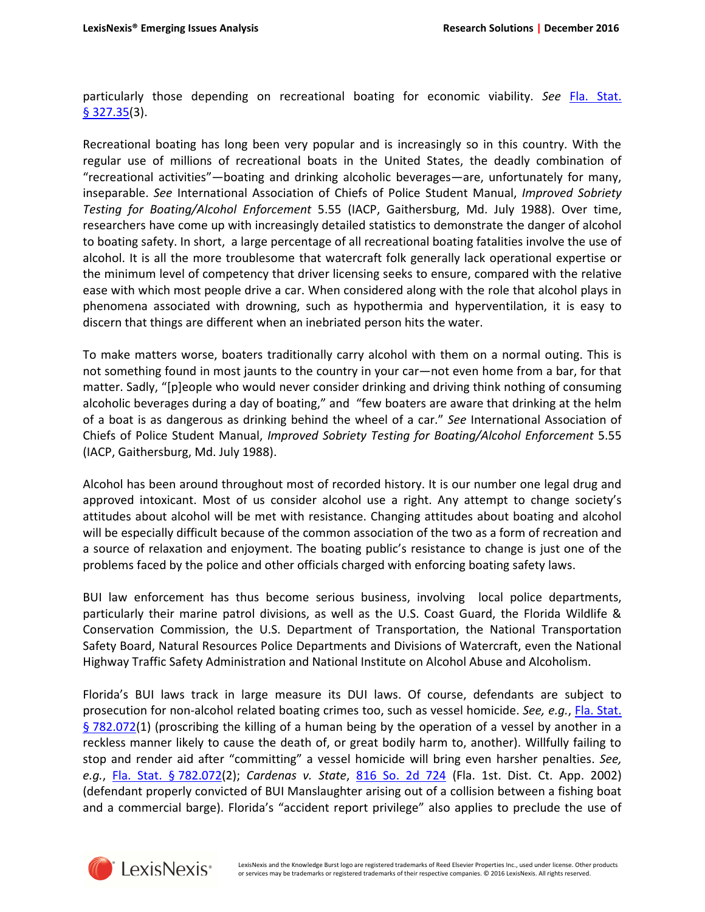particularly those depending on recreational boating for economic viability. *See* [Fla. Stat.](http://www.lexis.com/research/slft?cite=464C20436F646520A7203332372E3335&keyenum=15452&keytnum=0)  [§ 327.35\(](http://www.lexis.com/research/slft?cite=464C20436F646520A7203332372E3335&keyenum=15452&keytnum=0)3).

Recreational boating has long been very popular and is increasingly so in this country. With the regular use of millions of recreational boats in the United States, the deadly combination of "recreational activities"—boating and drinking alcoholic beverages—are, unfortunately for many, inseparable. *See* International Association of Chiefs of Police Student Manual, *Improved Sobriety Testing for Boating/Alcohol Enforcement* 5.55 (IACP, Gaithersburg, Md. July 1988). Over time, researchers have come up with increasingly detailed statistics to demonstrate the danger of alcohol to boating safety. In short, a large percentage of all recreational boating fatalities involve the use of alcohol. It is all the more troublesome that watercraft folk generally lack operational expertise or the minimum level of competency that driver licensing seeks to ensure, compared with the relative ease with which most people drive a car. When considered along with the role that alcohol plays in phenomena associated with drowning, such as hypothermia and hyperventilation, it is easy to discern that things are different when an inebriated person hits the water.

To make matters worse, boaters traditionally carry alcohol with them on a normal outing. This is not something found in most jaunts to the country in your car—not even home from a bar, for that matter. Sadly, "[p]eople who would never consider drinking and driving think nothing of consuming alcoholic beverages during a day of boating," and "few boaters are aware that drinking at the helm of a boat is as dangerous as drinking behind the wheel of a car." *See* International Association of Chiefs of Police Student Manual, *Improved Sobriety Testing for Boating/Alcohol Enforcement* 5.55 (IACP, Gaithersburg, Md. July 1988).

Alcohol has been around throughout most of recorded history. It is our number one legal drug and approved intoxicant. Most of us consider alcohol use a right. Any attempt to change society's attitudes about alcohol will be met with resistance. Changing attitudes about boating and alcohol will be especially difficult because of the common association of the two as a form of recreation and a source of relaxation and enjoyment. The boating public's resistance to change is just one of the problems faced by the police and other officials charged with enforcing boating safety laws.

BUI law enforcement has thus become serious business, involving local police departments, particularly their marine patrol divisions, as well as the U.S. Coast Guard, the Florida Wildlife & Conservation Commission, the U.S. Department of Transportation, the National Transportation Safety Board, Natural Resources Police Departments and Divisions of Watercraft, even the National Highway Traffic Safety Administration and National Institute on Alcohol Abuse and Alcoholism.

Florida's BUI laws track in large measure its DUI laws. Of course, defendants are subject to prosecution for non-alcohol related boating crimes too, such as vessel homicide. *See, e.g.*, [Fla. Stat.](http://www.lexis.com/research/slft?cite=464C20436F646520A7203738322E303732&keyenum=15452&keytnum=0)  [§ 782.072\(](http://www.lexis.com/research/slft?cite=464C20436F646520A7203738322E303732&keyenum=15452&keytnum=0)1) (proscribing the killing of a human being by the operation of a vessel by another in a reckless manner likely to cause the death of, or great bodily harm to, another). Willfully failing to stop and render aid after "committing" a vessel homicide will bring even harsher penalties. *See, e.g.*, [Fla. Stat. § 782.072\(](http://www.lexis.com/research/slft?cite=464C20436F646520A7203738322E303732&keyenum=15452&keytnum=0)2); *Cardenas v. State*, [816 So. 2d 724](http://www.lexis.com/research/slft?cite=38313620536F2E326420373234&keyenum=15451&keytnum=0) (Fla. 1st. Dist. Ct. App. 2002) (defendant properly convicted of BUI Manslaughter arising out of a collision between a fishing boat and a commercial barge). Florida's "accident report privilege" also applies to preclude the use of



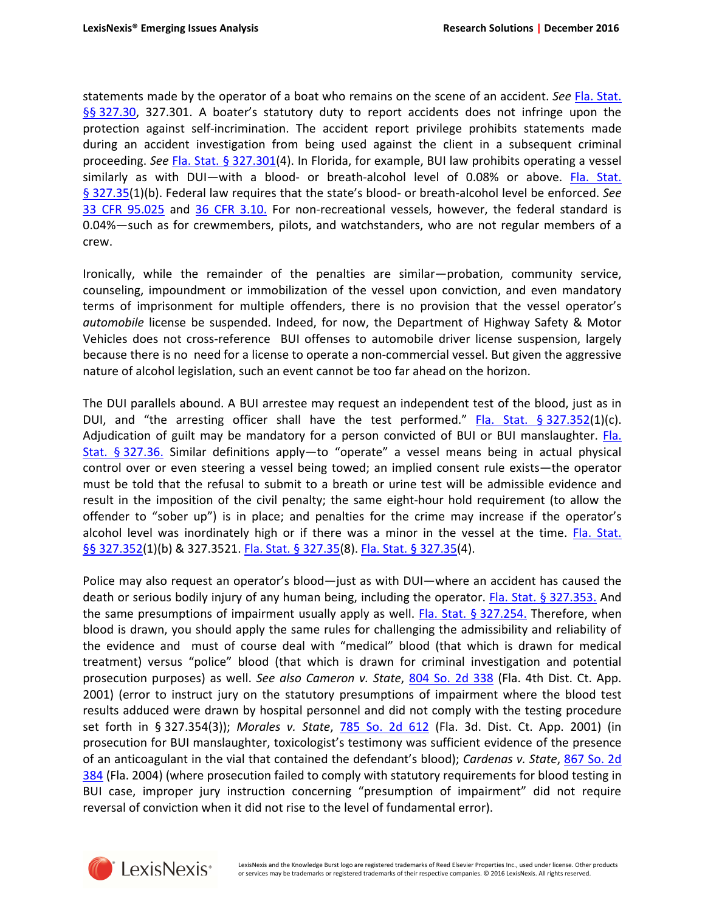statements made by the operator of a boat who remains on the scene of an accident. *See* [Fla. Stat.](http://www.lexis.com/research/slft?cite=464C20436F646520A7A7203332372E3330&keyenum=15452&keytnum=0)  [§§ 327.30](http://www.lexis.com/research/slft?cite=464C20436F646520A7A7203332372E3330&keyenum=15452&keytnum=0), 327.301. A boater's statutory duty to report accidents does not infringe upon the protection against self-incrimination. The accident report privilege prohibits statements made during an accident investigation from being used against the client in a subsequent criminal proceeding. *See* [Fla. Stat. § 327.301\(](http://www.lexis.com/research/slft?cite=464C20436F646520A7203332372E333031&keyenum=15452&keytnum=0)4). In Florida, for example, BUI law prohibits operating a vessel similarly as with DUI—with a blood- or breath-alcohol level of 0.08% or above. Fla. Stat. [§ 327.35\(](http://www.lexis.com/research/slft?cite=464C20436F646520A7203332372E3335&keyenum=15452&keytnum=0)1)(b). Federal law requires that the state's blood- or breath-alcohol level be enforced. *See* [33 CFR 95.025](http://www.lexis.com/research/slft?cite=333320432E462E522E2039352E303235&keyenum=15452&keytnum=0) and [36 CFR 3.10.](http://www.lexis.com/research/slft?cite=333620432E462E522E20332E31302E&keyenum=15452&keytnum=0) For non-recreational vessels, however, the federal standard is 0.04%—such as for crewmembers, pilots, and watchstanders, who are not regular members of a crew.

Ironically, while the remainder of the penalties are similar—probation, community service, counseling, impoundment or immobilization of the vessel upon conviction, and even mandatory terms of imprisonment for multiple offenders, there is no provision that the vessel operator's *automobile* license be suspended. Indeed, for now, the Department of Highway Safety & Motor Vehicles does not cross-reference BUI offenses to automobile driver license suspension, largely because there is no need for a license to operate a non-commercial vessel. But given the aggressive nature of alcohol legislation, such an event cannot be too far ahead on the horizon.

The DUI parallels abound. A BUI arrestee may request an independent test of the blood, just as in DUI, and "the arresting officer shall have the test performed." Fla. Stat.  $\S 327.352(1)(c)$ . Adjudication of guilt may be mandatory for a person convicted of BUI or BUI manslaughter. Fla. [Stat. § 327.36.](http://www.lexis.com/research/slft?cite=464C20436F646520A7203332372E33362E&keyenum=15452&keytnum=0) Similar definitions apply—to "operate" a vessel means being in actual physical control over or even steering a vessel being towed; an implied consent rule exists—the operator must be told that the refusal to submit to a breath or urine test will be admissible evidence and result in the imposition of the civil penalty; the same eight-hour hold requirement (to allow the offender to "sober up") is in place; and penalties for the crime may increase if the operator's alcohol level was inordinately high or if there was a minor in the vessel at the time. [Fla. Stat.](http://www.lexis.com/research/slft?cite=464C20436F646520A7A7203332372E333532&keyenum=15452&keytnum=0)  [§§ 327.352](http://www.lexis.com/research/slft?cite=464C20436F646520A7A7203332372E333532&keyenum=15452&keytnum=0)(1)(b) & 327.3521. [Fla. Stat. § 327.35\(](http://www.lexis.com/research/slft?cite=464C20436F646520A7203332372E3335&keyenum=15452&keytnum=0)8). [Fla. Stat. § 327.35](http://www.lexis.com/research/slft?cite=464C20436F646520A7203332372E3335&keyenum=15452&keytnum=0)(4).

Police may also request an operator's blood—just as with DUI—where an accident has caused the death or serious bodily injury of any human being, including the operator. [Fla. Stat. § 327.353.](http://www.lexis.com/research/slft?cite=464C20436F646520A7203332372E3335332E&keyenum=15452&keytnum=0) And the same presumptions of impairment usually apply as well. [Fla. Stat. § 327.254.](http://www.lexis.com/research/slft?cite=464C20436F646520A7203332372E3235342E&keyenum=15452&keytnum=0) Therefore, when blood is drawn, you should apply the same rules for challenging the admissibility and reliability of the evidence and must of course deal with "medical" blood (that which is drawn for medical treatment) versus "police" blood (that which is drawn for criminal investigation and potential prosecution purposes) as well. *See also Cameron v. State*, [804 So. 2d 338](http://www.lexis.com/research/slft?cite=38303420536F2E326420333338&keyenum=15451&keytnum=0) (Fla. 4th Dist. Ct. App. 2001) (error to instruct jury on the statutory presumptions of impairment where the blood test results adduced were drawn by hospital personnel and did not comply with the testing procedure set forth in § 327.354(3)); *Morales v. State*, [785 So. 2d 612](http://www.lexis.com/research/slft?cite=37383520536F2E326420363132&keyenum=15451&keytnum=0) (Fla. 3d. Dist. Ct. App. 2001) (in prosecution for BUI manslaughter, toxicologist's testimony was sufficient evidence of the presence of an anticoagulant in the vial that contained the defendant's blood); *Cardenas v. State*, [867 So. 2d](http://www.lexis.com/research/slft?cite=38363720536F2E326420333834&keyenum=15451&keytnum=0)  [384](http://www.lexis.com/research/slft?cite=38363720536F2E326420333834&keyenum=15451&keytnum=0) (Fla. 2004) (where prosecution failed to comply with statutory requirements for blood testing in BUI case, improper jury instruction concerning "presumption of impairment" did not require reversal of conviction when it did not rise to the level of fundamental error).

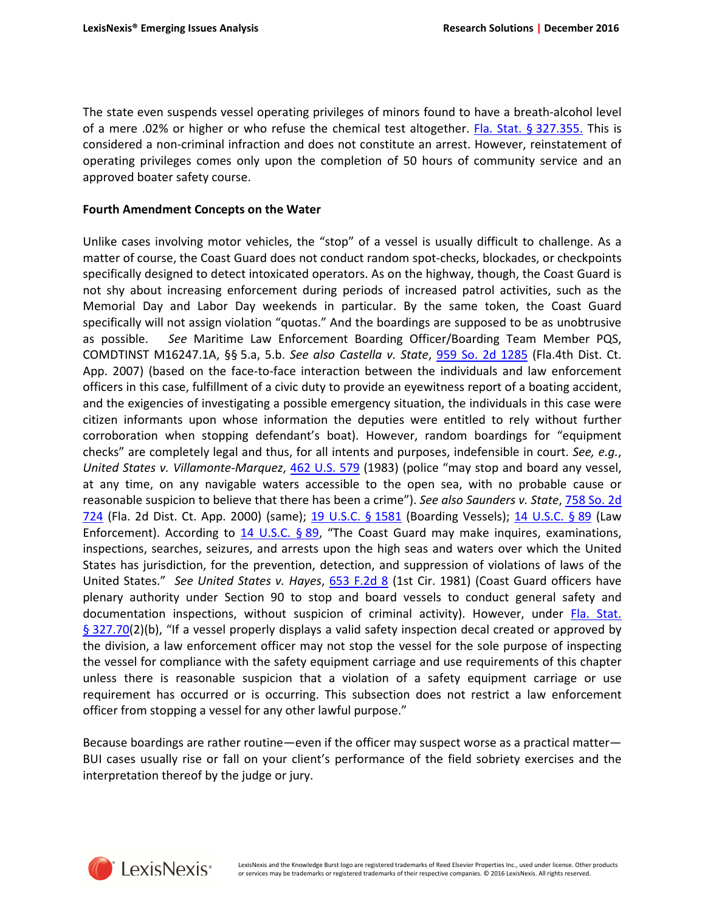The state even suspends vessel operating privileges of minors found to have a breath-alcohol level of a mere .02% or higher or who refuse the chemical test altogether. [Fla. Stat. § 327.355.](http://www.lexis.com/research/slft?cite=464C20436F646520A7203332372E3335352E&keyenum=15452&keytnum=0) This is considered a non-criminal infraction and does not constitute an arrest. However, reinstatement of operating privileges comes only upon the completion of 50 hours of community service and an approved boater safety course.

#### **Fourth Amendment Concepts on the Water**

Unlike cases involving motor vehicles, the "stop" of a vessel is usually difficult to challenge. As a matter of course, the Coast Guard does not conduct random spot-checks, blockades, or checkpoints specifically designed to detect intoxicated operators. As on the highway, though, the Coast Guard is not shy about increasing enforcement during periods of increased patrol activities, such as the Memorial Day and Labor Day weekends in particular. By the same token, the Coast Guard specifically will not assign violation "quotas." And the boardings are supposed to be as unobtrusive as possible. *See* Maritime Law Enforcement Boarding Officer/Boarding Team Member PQS, COMDTINST M16247.1A, §§ 5.a, 5.b. *See also Castella v. State*, [959 So. 2d 1285](http://www.lexis.com/research/slft?cite=39353920536F2E32642031323835&keyenum=15451&keytnum=0) (Fla.4th Dist. Ct. App. 2007) (based on the face-to-face interaction between the individuals and law enforcement officers in this case, fulfillment of a civic duty to provide an eyewitness report of a boating accident, and the exigencies of investigating a possible emergency situation, the individuals in this case were citizen informants upon whose information the deputies were entitled to rely without further corroboration when stopping defendant's boat). However, random boardings for "equipment checks" are completely legal and thus, for all intents and purposes, indefensible in court. *See, e.g.*, *United States v. Villamonte-Marquez*, [462 U.S. 579](http://www.lexis.com/research/slft?cite=34363220552E532E2020353739&keyenum=15451&keytnum=0) (1983) (police "may stop and board any vessel, at any time, on any navigable waters accessible to the open sea, with no probable cause or reasonable suspicion to believe that there has been a crime"). *See also Saunders v. State*, [758 So. 2d](http://www.lexis.com/research/slft?cite=37353820536F2E326420373234&keyenum=15451&keytnum=0)  [724](http://www.lexis.com/research/slft?cite=37353820536F2E326420373234&keyenum=15451&keytnum=0) (Fla. 2d Dist. Ct. App. 2000) (same); [19 U.S.C. § 1581](http://www.lexis.com/research/slft?cite=31392055534320A72031353831&keyenum=15452&keytnum=0) (Boarding Vessels); [14 U.S.C. § 89](http://www.lexis.com/research/slft?cite=31342055534320A7203839&keyenum=15452&keytnum=0) (Law Enforcement). According to [14 U.S.C. § 89](http://www.lexis.com/research/slft?cite=31342055534320A7203839&keyenum=15452&keytnum=0), "The Coast Guard may make inquires, examinations, inspections, searches, seizures, and arrests upon the high seas and waters over which the United States has jurisdiction, for the prevention, detection, and suppression of violations of laws of the United States." *See United States v. Hayes*, [653 F.2d 8](http://www.lexis.com/research/slft?cite=36353320462E32642038&keyenum=15451&keytnum=0) (1st Cir. 1981) (Coast Guard officers have plenary authority under Section 90 to stop and board vessels to conduct general safety and documentation inspections, without suspicion of criminal activity). However, under [Fla. Stat.](http://www.lexis.com/research/slft?cite=464C20436F646520A7203332372E3730&keyenum=15452&keytnum=0)  [§ 327.70\(](http://www.lexis.com/research/slft?cite=464C20436F646520A7203332372E3730&keyenum=15452&keytnum=0)2)(b), "If a vessel properly displays a valid safety inspection decal created or approved by the division, a law enforcement officer may not stop the vessel for the sole purpose of inspecting the vessel for compliance with the safety equipment carriage and use requirements of this chapter unless there is reasonable suspicion that a violation of a safety equipment carriage or use requirement has occurred or is occurring. This subsection does not restrict a law enforcement officer from stopping a vessel for any other lawful purpose."

Because boardings are rather routine—even if the officer may suspect worse as a practical matter— BUI cases usually rise or fall on your client's performance of the field sobriety exercises and the interpretation thereof by the judge or jury.

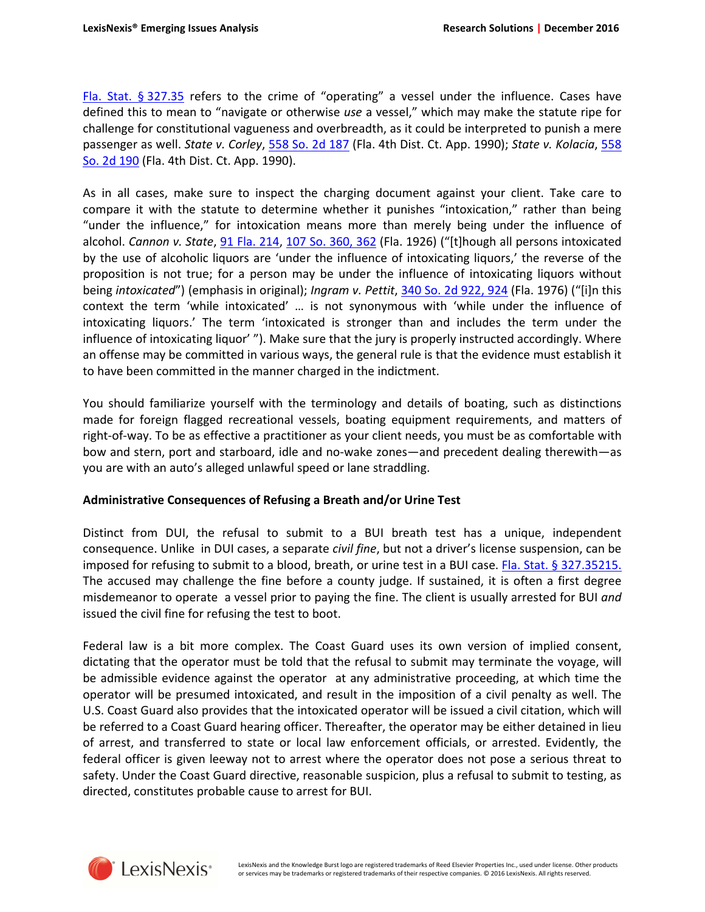[Fla. Stat. § 327.35](http://www.lexis.com/research/slft?cite=464C20436F646520A7203332372E3335&keyenum=15452&keytnum=0) refers to the crime of "operating" a vessel under the influence. Cases have defined this to mean to "navigate or otherwise *use* a vessel," which may make the statute ripe for challenge for constitutional vagueness and overbreadth, as it could be interpreted to punish a mere passenger as well. *State v. Corley*, [558 So. 2d 187](http://www.lexis.com/research/slft?cite=35353820536F2E326420313837&keyenum=15451&keytnum=0) (Fla. 4th Dist. Ct. App. 1990); *State v. Kolacia*, [558](http://www.lexis.com/research/slft?cite=35353820536F2E326420313930&keyenum=15451&keytnum=0) [So. 2d 190](http://www.lexis.com/research/slft?cite=35353820536F2E326420313930&keyenum=15451&keytnum=0) (Fla. 4th Dist. Ct. App. 1990).

As in all cases, make sure to inspect the charging document against your client. Take care to compare it with the statute to determine whether it punishes "intoxication," rather than being "under the influence," for intoxication means more than merely being under the influence of alcohol. *Cannon v. State*, [91 Fla. 214,](http://www.lexis.com/research/slft?cite=393120466C612E2020323134&keyenum=15451&keytnum=0) [107 So. 360, 362](http://www.lexis.com/research/slft?cite=31303720536F2E2020333630&keyenum=15451&keytnum=0) (Fla. 1926) ("[t]hough all persons intoxicated by the use of alcoholic liquors are 'under the influence of intoxicating liquors,' the reverse of the proposition is not true; for a person may be under the influence of intoxicating liquors without being *intoxicated*") (emphasis in original); *Ingram v. Pettit*, [340 So. 2d 922, 924](http://www.lexis.com/research/slft?cite=33343020536F2E326420393232&keyenum=15451&keytnum=0) (Fla. 1976) ("[i]n this context the term 'while intoxicated' … is not synonymous with 'while under the influence of intoxicating liquors.' The term 'intoxicated is stronger than and includes the term under the influence of intoxicating liquor' "). Make sure that the jury is properly instructed accordingly. Where an offense may be committed in various ways, the general rule is that the evidence must establish it to have been committed in the manner charged in the indictment.

You should familiarize yourself with the terminology and details of boating, such as distinctions made for foreign flagged recreational vessels, boating equipment requirements, and matters of right-of-way. To be as effective a practitioner as your client needs, you must be as comfortable with bow and stern, port and starboard, idle and no-wake zones—and precedent dealing therewith—as you are with an auto's alleged unlawful speed or lane straddling.

## **Administrative Consequences of Refusing a Breath and/or Urine Test**

Distinct from DUI, the refusal to submit to a BUI breath test has a unique, independent consequence. Unlike in DUI cases, a separate *civil fine*, but not a driver's license suspension, can be imposed for refusing to submit to a blood, breath, or urine test in a BUI case. [Fla. Stat. § 327.35215.](http://www.lexis.com/research/slft?cite=464C20436F646520A7203332372E33353231352E&keyenum=15452&keytnum=0) The accused may challenge the fine before a county judge. If sustained, it is often a first degree misdemeanor to operate a vessel prior to paying the fine. The client is usually arrested for BUI *and* issued the civil fine for refusing the test to boot.

Federal law is a bit more complex. The Coast Guard uses its own version of implied consent, dictating that the operator must be told that the refusal to submit may terminate the voyage, will be admissible evidence against the operator at any administrative proceeding, at which time the operator will be presumed intoxicated, and result in the imposition of a civil penalty as well. The U.S. Coast Guard also provides that the intoxicated operator will be issued a civil citation, which will be referred to a Coast Guard hearing officer. Thereafter, the operator may be either detained in lieu of arrest, and transferred to state or local law enforcement officials, or arrested. Evidently, the federal officer is given leeway not to arrest where the operator does not pose a serious threat to safety. Under the Coast Guard directive, reasonable suspicion, plus a refusal to submit to testing, as directed, constitutes probable cause to arrest for BUI.

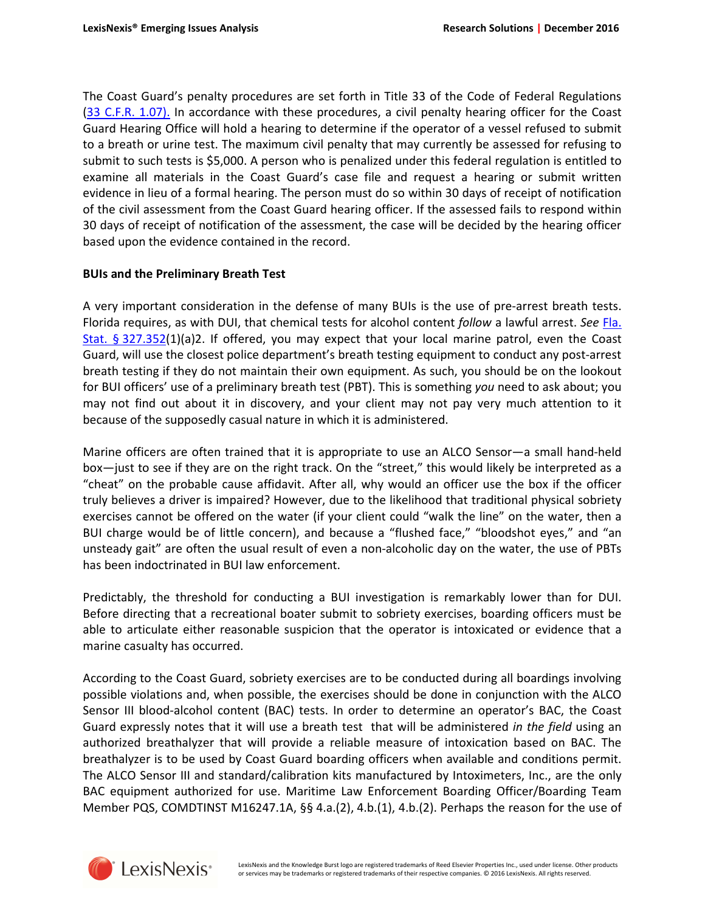The Coast Guard's penalty procedures are set forth in Title 33 of the Code of Federal Regulations ([33 C.F.R. 1.07\).](http://www.lexis.com/research/slft?cite=333320432E462E522E20312E3037292E&keyenum=15452&keytnum=0) In accordance with these procedures, a civil penalty hearing officer for the Coast Guard Hearing Office will hold a hearing to determine if the operator of a vessel refused to submit to a breath or urine test. The maximum civil penalty that may currently be assessed for refusing to submit to such tests is \$5,000. A person who is penalized under this federal regulation is entitled to examine all materials in the Coast Guard's case file and request a hearing or submit written evidence in lieu of a formal hearing. The person must do so within 30 days of receipt of notification of the civil assessment from the Coast Guard hearing officer. If the assessed fails to respond within 30 days of receipt of notification of the assessment, the case will be decided by the hearing officer based upon the evidence contained in the record.

## **BUIs and the Preliminary Breath Test**

A very important consideration in the defense of many BUIs is the use of pre-arrest breath tests. Florida requires, as with DUI, that chemical tests for alcohol content *follow* a lawful arrest. *See* [Fla.](http://www.lexis.com/research/slft?cite=464C20436F646520A7203332372E333532&keyenum=15452&keytnum=0)  [Stat. § 327.352](http://www.lexis.com/research/slft?cite=464C20436F646520A7203332372E333532&keyenum=15452&keytnum=0)(1)(a)2. If offered, you may expect that your local marine patrol, even the Coast Guard, will use the closest police department's breath testing equipment to conduct any post-arrest breath testing if they do not maintain their own equipment. As such, you should be on the lookout for BUI officers' use of a preliminary breath test (PBT). This is something *you* need to ask about; you may not find out about it in discovery, and your client may not pay very much attention to it because of the supposedly casual nature in which it is administered.

Marine officers are often trained that it is appropriate to use an ALCO Sensor—a small hand-held box—just to see if they are on the right track. On the "street," this would likely be interpreted as a "cheat" on the probable cause affidavit. After all, why would an officer use the box if the officer truly believes a driver is impaired? However, due to the likelihood that traditional physical sobriety exercises cannot be offered on the water (if your client could "walk the line" on the water, then a BUI charge would be of little concern), and because a "flushed face," "bloodshot eyes," and "an unsteady gait" are often the usual result of even a non-alcoholic day on the water, the use of PBTs has been indoctrinated in BUI law enforcement.

Predictably, the threshold for conducting a BUI investigation is remarkably lower than for DUI. Before directing that a recreational boater submit to sobriety exercises, boarding officers must be able to articulate either reasonable suspicion that the operator is intoxicated or evidence that a marine casualty has occurred.

According to the Coast Guard, sobriety exercises are to be conducted during all boardings involving possible violations and, when possible, the exercises should be done in conjunction with the ALCO Sensor III blood-alcohol content (BAC) tests. In order to determine an operator's BAC, the Coast Guard expressly notes that it will use a breath test that will be administered *in the field* using an authorized breathalyzer that will provide a reliable measure of intoxication based on BAC. The breathalyzer is to be used by Coast Guard boarding officers when available and conditions permit. The ALCO Sensor III and standard/calibration kits manufactured by Intoximeters, Inc., are the only BAC equipment authorized for use. Maritime Law Enforcement Boarding Officer/Boarding Team Member PQS, COMDTINST M16247.1A, §§ 4.a.(2), 4.b.(1), 4.b.(2). Perhaps the reason for the use of

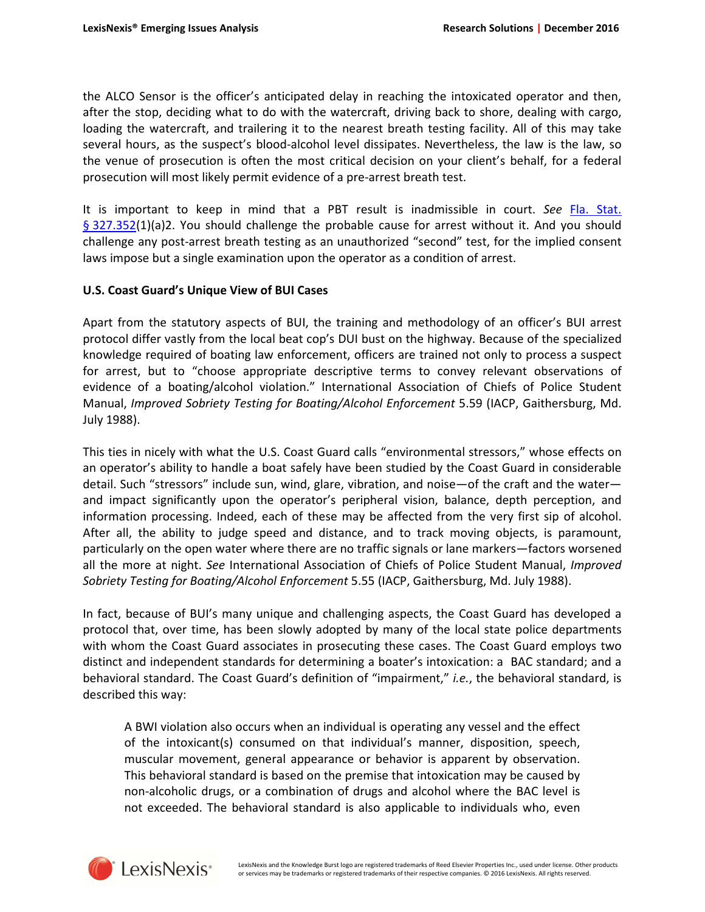the ALCO Sensor is the officer's anticipated delay in reaching the intoxicated operator and then, after the stop, deciding what to do with the watercraft, driving back to shore, dealing with cargo, loading the watercraft, and trailering it to the nearest breath testing facility. All of this may take several hours, as the suspect's blood-alcohol level dissipates. Nevertheless, the law is the law, so the venue of prosecution is often the most critical decision on your client's behalf, for a federal prosecution will most likely permit evidence of a pre-arrest breath test.

It is important to keep in mind that a PBT result is inadmissible in court. *See* [Fla. Stat.](http://www.lexis.com/research/slft?cite=464C20436F646520A7203332372E333532&keyenum=15452&keytnum=0)  [§ 327.352\(](http://www.lexis.com/research/slft?cite=464C20436F646520A7203332372E333532&keyenum=15452&keytnum=0)1)(a)2. You should challenge the probable cause for arrest without it. And you should challenge any post-arrest breath testing as an unauthorized "second" test, for the implied consent laws impose but a single examination upon the operator as a condition of arrest.

## **U.S. Coast Guard's Unique View of BUI Cases**

Apart from the statutory aspects of BUI, the training and methodology of an officer's BUI arrest protocol differ vastly from the local beat cop's DUI bust on the highway. Because of the specialized knowledge required of boating law enforcement, officers are trained not only to process a suspect for arrest, but to "choose appropriate descriptive terms to convey relevant observations of evidence of a boating/alcohol violation." International Association of Chiefs of Police Student Manual, *Improved Sobriety Testing for Boating/Alcohol Enforcement* 5.59 (IACP, Gaithersburg, Md. July 1988).

This ties in nicely with what the U.S. Coast Guard calls "environmental stressors," whose effects on an operator's ability to handle a boat safely have been studied by the Coast Guard in considerable detail. Such "stressors" include sun, wind, glare, vibration, and noise—of the craft and the water and impact significantly upon the operator's peripheral vision, balance, depth perception, and information processing. Indeed, each of these may be affected from the very first sip of alcohol. After all, the ability to judge speed and distance, and to track moving objects, is paramount, particularly on the open water where there are no traffic signals or lane markers—factors worsened all the more at night. *See* International Association of Chiefs of Police Student Manual, *Improved Sobriety Testing for Boating/Alcohol Enforcement* 5.55 (IACP, Gaithersburg, Md. July 1988).

In fact, because of BUI's many unique and challenging aspects, the Coast Guard has developed a protocol that, over time, has been slowly adopted by many of the local state police departments with whom the Coast Guard associates in prosecuting these cases. The Coast Guard employs two distinct and independent standards for determining a boater's intoxication: a BAC standard; and a behavioral standard. The Coast Guard's definition of "impairment," *i.e.*, the behavioral standard, is described this way:

A BWI violation also occurs when an individual is operating any vessel and the effect of the intoxicant(s) consumed on that individual's manner, disposition, speech, muscular movement, general appearance or behavior is apparent by observation. This behavioral standard is based on the premise that intoxication may be caused by non-alcoholic drugs, or a combination of drugs and alcohol where the BAC level is not exceeded. The behavioral standard is also applicable to individuals who, even



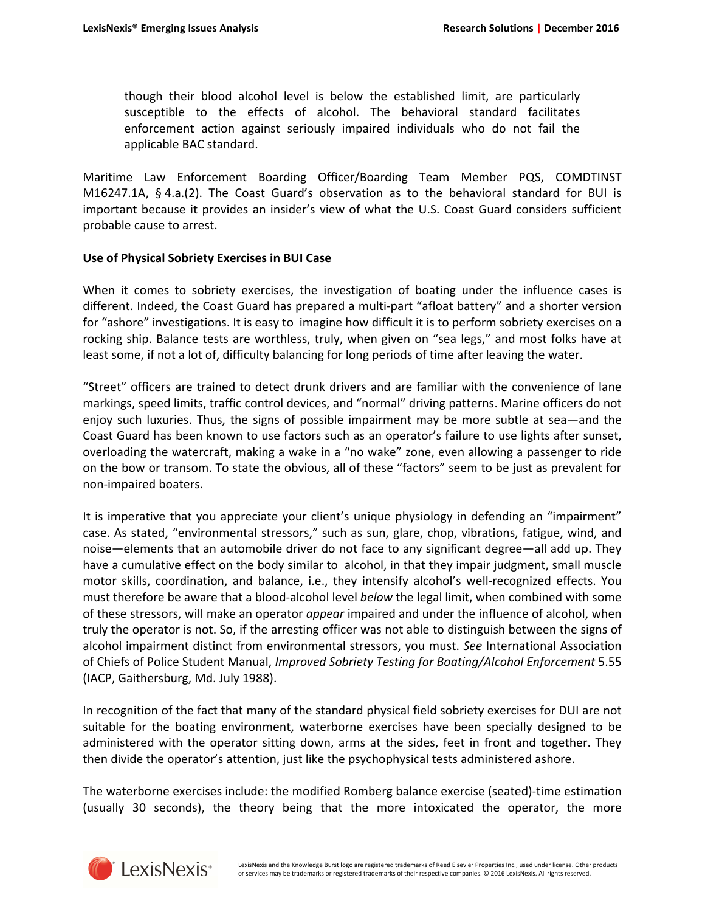though their blood alcohol level is below the established limit, are particularly susceptible to the effects of alcohol. The behavioral standard facilitates enforcement action against seriously impaired individuals who do not fail the applicable BAC standard.

Maritime Law Enforcement Boarding Officer/Boarding Team Member PQS, COMDTINST M16247.1A, § 4.a.(2). The Coast Guard's observation as to the behavioral standard for BUI is important because it provides an insider's view of what the U.S. Coast Guard considers sufficient probable cause to arrest.

#### **Use of Physical Sobriety Exercises in BUI Case**

When it comes to sobriety exercises, the investigation of boating under the influence cases is different. Indeed, the Coast Guard has prepared a multi-part "afloat battery" and a shorter version for "ashore" investigations. It is easy to imagine how difficult it is to perform sobriety exercises on a rocking ship. Balance tests are worthless, truly, when given on "sea legs," and most folks have at least some, if not a lot of, difficulty balancing for long periods of time after leaving the water.

"Street" officers are trained to detect drunk drivers and are familiar with the convenience of lane markings, speed limits, traffic control devices, and "normal" driving patterns. Marine officers do not enjoy such luxuries. Thus, the signs of possible impairment may be more subtle at sea—and the Coast Guard has been known to use factors such as an operator's failure to use lights after sunset, overloading the watercraft, making a wake in a "no wake" zone, even allowing a passenger to ride on the bow or transom. To state the obvious, all of these "factors" seem to be just as prevalent for non-impaired boaters.

It is imperative that you appreciate your client's unique physiology in defending an "impairment" case. As stated, "environmental stressors," such as sun, glare, chop, vibrations, fatigue, wind, and noise—elements that an automobile driver do not face to any significant degree—all add up. They have a cumulative effect on the body similar to alcohol, in that they impair judgment, small muscle motor skills, coordination, and balance, i.e., they intensify alcohol's well-recognized effects. You must therefore be aware that a blood-alcohol level *below* the legal limit, when combined with some of these stressors, will make an operator *appear* impaired and under the influence of alcohol, when truly the operator is not. So, if the arresting officer was not able to distinguish between the signs of alcohol impairment distinct from environmental stressors, you must. *See* International Association of Chiefs of Police Student Manual, *Improved Sobriety Testing for Boating/Alcohol Enforcement* 5.55 (IACP, Gaithersburg, Md. July 1988).

In recognition of the fact that many of the standard physical field sobriety exercises for DUI are not suitable for the boating environment, waterborne exercises have been specially designed to be administered with the operator sitting down, arms at the sides, feet in front and together. They then divide the operator's attention, just like the psychophysical tests administered ashore.

The waterborne exercises include: the modified Romberg balance exercise (seated)-time estimation (usually 30 seconds), the theory being that the more intoxicated the operator, the more